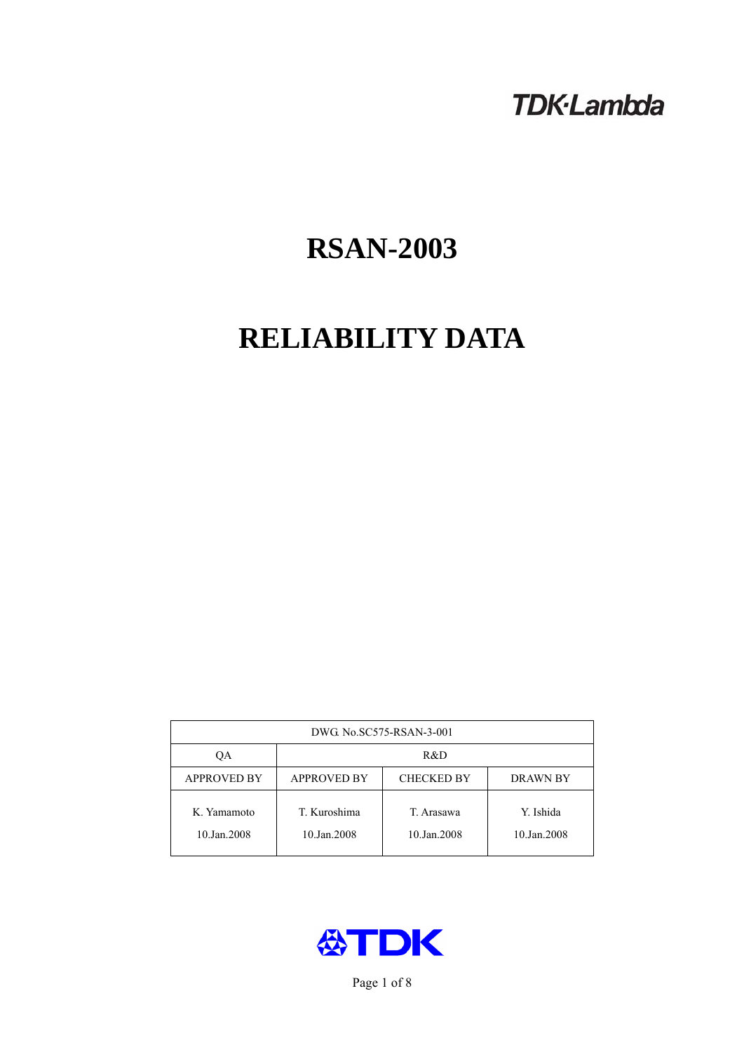## **TDK-Lambda**

# **RSAN-2003**

# **RELIABILITY DATA**

| DWG No.SC575-RSAN-3-001    |                                                            |                           |                          |  |  |
|----------------------------|------------------------------------------------------------|---------------------------|--------------------------|--|--|
| QA                         | R&D                                                        |                           |                          |  |  |
| <b>APPROVED BY</b>         | <b>APPROVED BY</b><br><b>CHECKED BY</b><br><b>DRAWN BY</b> |                           |                          |  |  |
| K. Yamamoto<br>10.Jan.2008 | T. Kuroshima<br>10.Jan.2008                                | T. Arasawa<br>10.Jan.2008 | Y. Ishida<br>10.Jan.2008 |  |  |



Page 1 of 8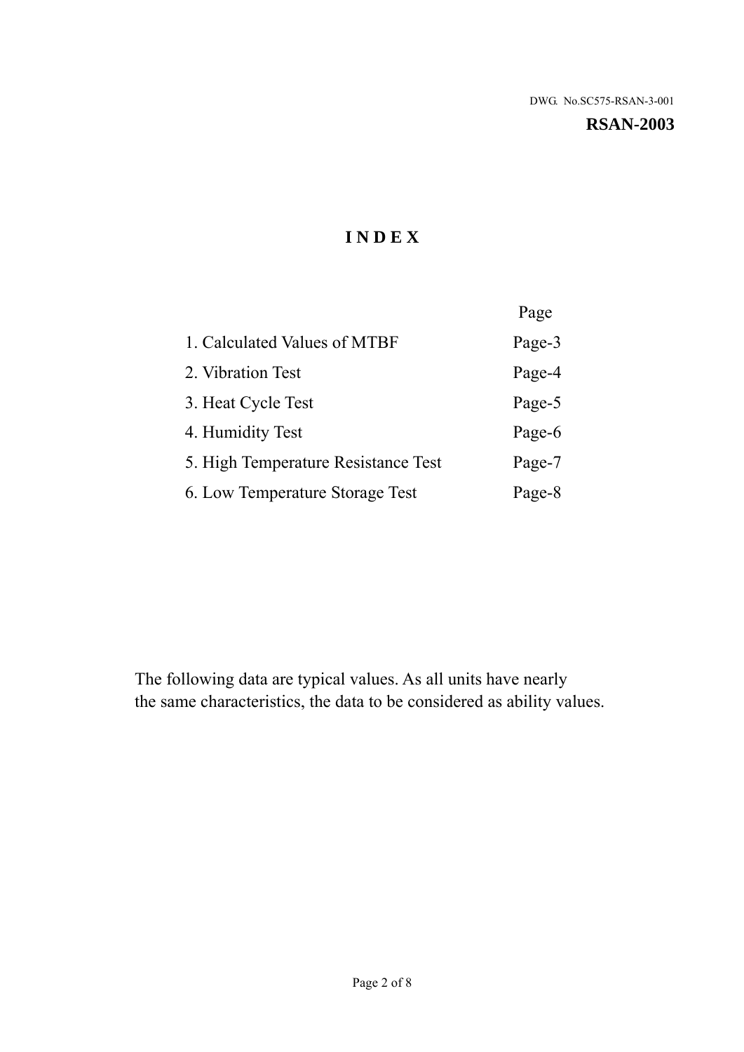**RSAN-2003** 

## **I N D E X**

|                                     | Page   |
|-------------------------------------|--------|
| 1. Calculated Values of MTBF        | Page-3 |
| 2. Vibration Test                   | Page-4 |
| 3. Heat Cycle Test                  | Page-5 |
| 4. Humidity Test                    | Page-6 |
| 5. High Temperature Resistance Test | Page-7 |
| 6. Low Temperature Storage Test     | Page-8 |

The following data are typical values. As all units have nearly the same characteristics, the data to be considered as ability values.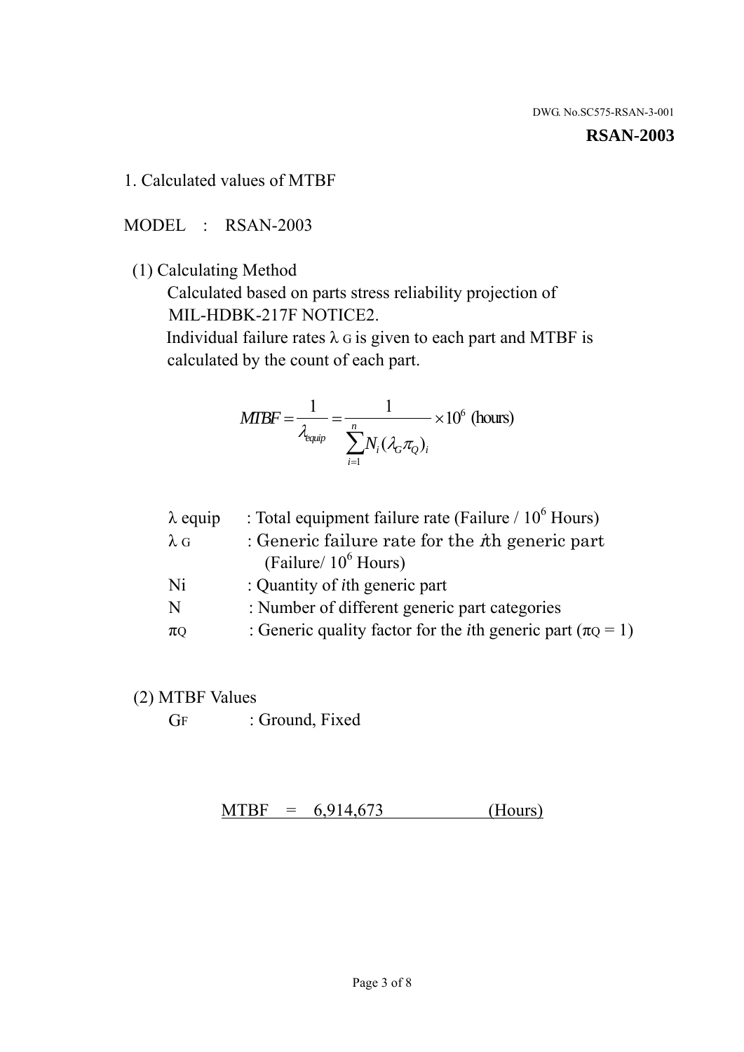#### **RSAN-2003**

1. Calculated values of MTBF

MODEL : RSAN-2003

(1) Calculating Method

 Calculated based on parts stress reliability projection of MIL-HDBK-217F NOTICE2.

Individual failure rates  $\lambda$  G is given to each part and MTBF is calculated by the count of each part.

$$
MTBF = \frac{1}{\lambda_{\text{equip}}} = \frac{1}{\sum_{i=1}^{n} N_i (\lambda_G \pi_Q)_i} \times 10^6 \text{ (hours)}
$$

| : Total equipment failure rate (Failure / $10^6$ Hours)                   |
|---------------------------------------------------------------------------|
| : Generic failure rate for the $\hbar$ generic part                       |
| (Failure/ $10^6$ Hours)                                                   |
| : Quantity of <i>i</i> th generic part                                    |
| : Number of different generic part categories                             |
| : Generic quality factor for the <i>i</i> th generic part ( $\pi Q = 1$ ) |
|                                                                           |

- (2) MTBF Values
	- GF : Ground, Fixed

 $MTBF = 6,914,673$  (Hours)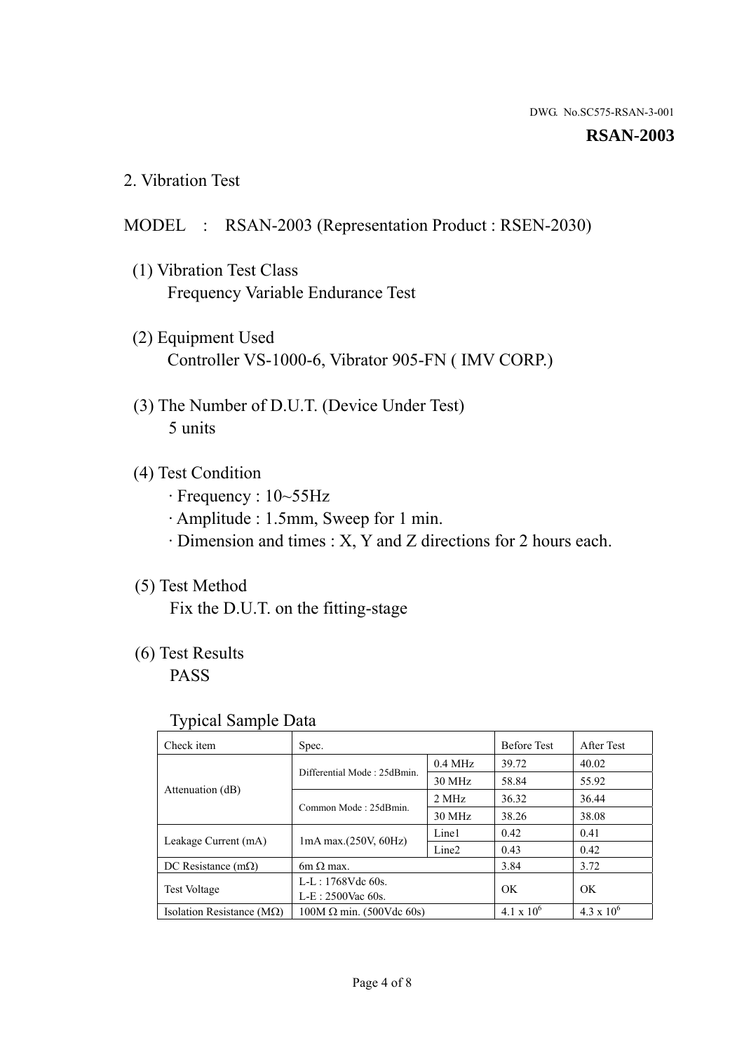#### **RSAN-2003**

2. Vibration Test

### MODEL : RSAN-2003 (Representation Product : RSEN-2030)

- (1) Vibration Test Class Frequency Variable Endurance Test
- (2) Equipment Used Controller VS-1000-6, Vibrator 905-FN ( IMV CORP.)
- (3) The Number of D.U.T. (Device Under Test) 5 units
- (4) Test Condition
	- · Frequency : 10~55Hz
	- · Amplitude : 1.5mm, Sweep for 1 min.
	- · Dimension and times : X, Y and Z directions for 2 hours each.

## (5) Test Method

Fix the D.U.T. on the fitting-stage

## (6) Test Results

PASS

#### Typical Sample Data

| . .                           |                                                         |           |                     |                     |
|-------------------------------|---------------------------------------------------------|-----------|---------------------|---------------------|
| Check item                    | Spec.                                                   |           | <b>Before Test</b>  | After Test          |
|                               | Differential Mode: 25dBmin.                             | $0.4$ MHz | 39.72               | 40.02               |
|                               |                                                         | 30 MHz    | 58.84               | 55.92               |
| Attenuation (dB)              | Common Mode: 25dBmin.                                   | 2 MHz     | 36.32               | 36.44               |
|                               |                                                         | 30 MHz    | 38.26               | 38.08               |
| Leakage Current (mA)          | Line1<br>$1mA$ max. $(250V, 60Hz)$<br>Line <sub>2</sub> |           | 0.42                | 0.41                |
|                               |                                                         |           | 0.43                | 0.42                |
| DC Resistance $(m\Omega)$     | 6m $\Omega$ max.                                        |           | 3.84                | 3.72                |
| <b>Test Voltage</b>           | $L-L: 1768Vdc$ 60s.                                     |           | OK                  | OK.                 |
|                               | $L-E$ : 2500Vac 60s.                                    |           |                     |                     |
| Isolation Resistance ( $MQ$ ) | $100M \Omega$ min. (500Vdc 60s)                         |           | $4.1 \times 10^{6}$ | $4.3 \times 10^{6}$ |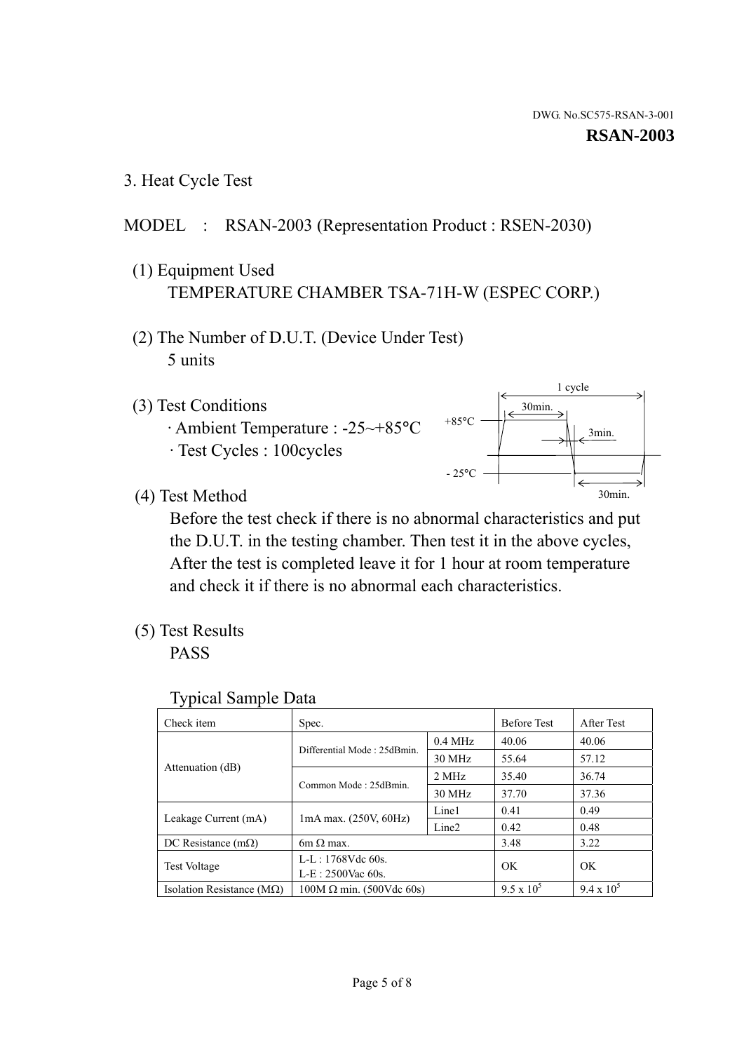3. Heat Cycle Test

## MODEL : RSAN-2003 (Representation Product : RSEN-2030)

- (1) Equipment Used TEMPERATURE CHAMBER TSA-71H-W (ESPEC CORP.)
- (2) The Number of D.U.T. (Device Under Test) 5 units
- (3) Test Conditions
	- · Ambient Temperature : -25~+85°C · Test Cycles : 100cycles



(4) Test Method

 Before the test check if there is no abnormal characteristics and put the D.U.T. in the testing chamber. Then test it in the above cycles, After the test is completed leave it for 1 hour at room temperature and check it if there is no abnormal each characteristics.

(5) Test Results

PASS

| <b>Typical Sample Data</b> |  |  |
|----------------------------|--|--|
|----------------------------|--|--|

| Check item                    | Spec.                           |                   | <b>Before Test</b> | After Test        |
|-------------------------------|---------------------------------|-------------------|--------------------|-------------------|
|                               |                                 | $0.4$ MHz         | 40.06              | 40.06             |
|                               | Differential Mode: 25dBmin.     | 30 MHz            | 55.64              | 57.12             |
| Attenuation (dB)              | Common Mode: 25dBmin.           | 2 MHz             | 35.40              | 36.74             |
|                               |                                 | 30 MHz            | 37.70              | 37.36             |
| Leakage Current (mA)          | $1mA$ max. $(250V, 60Hz)$       | Line1             | 0.41               | 0.49              |
|                               |                                 | Line <sub>2</sub> | 0.42               | 0.48              |
| DC Resistance $(m\Omega)$     | $6m \Omega$ max.                |                   | 3.48               | 3.22              |
| <b>Test Voltage</b>           | L-L: $1768V$ de $60s$ .         |                   | OK                 | OK                |
|                               | $L-E: 2500$ Vac 60s.            |                   |                    |                   |
| Isolation Resistance ( $MQ$ ) | $100M \Omega$ min. (500Vdc 60s) |                   | $9.5 \times 10^5$  | $9.4 \times 10^5$ |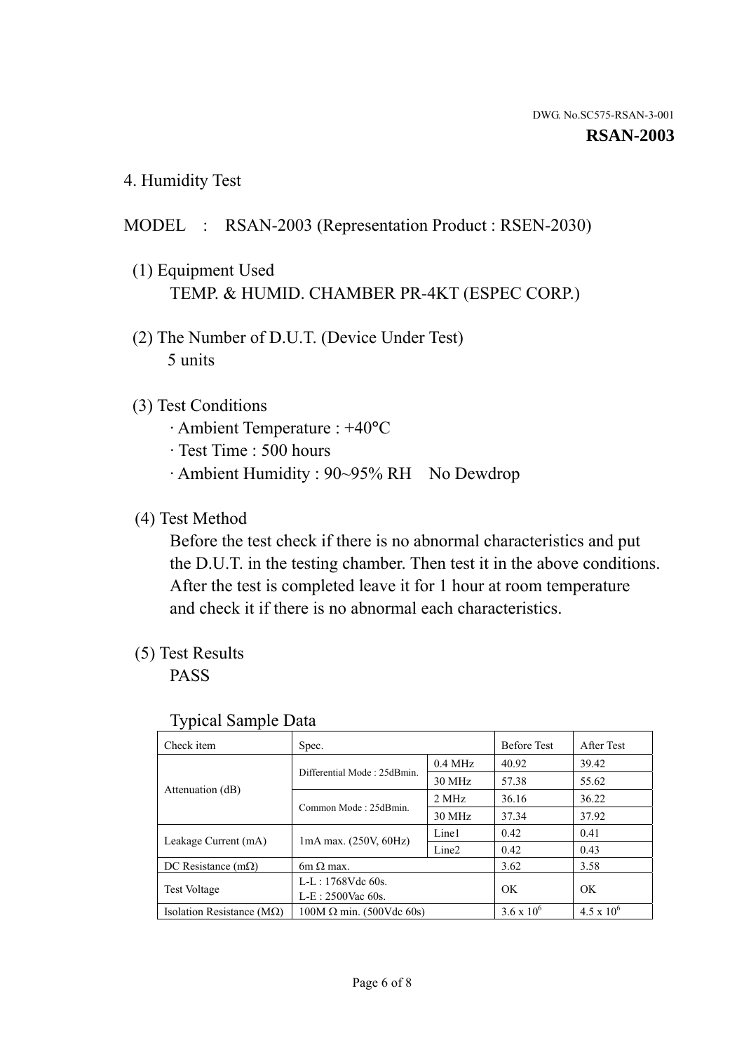4. Humidity Test

## MODEL : RSAN-2003 (Representation Product : RSEN-2030)

- (1) Equipment Used TEMP. & HUMID. CHAMBER PR-4KT (ESPEC CORP.)
- (2) The Number of D.U.T. (Device Under Test) 5 units

### (3) Test Conditions

- · Ambient Temperature : +40°C
- · Test Time : 500 hours
- · Ambient Humidity : 90~95% RH No Dewdrop

### (4) Test Method

 Before the test check if there is no abnormal characteristics and put the D.U.T. in the testing chamber. Then test it in the above conditions. After the test is completed leave it for 1 hour at room temperature and check it if there is no abnormal each characteristics.

### (5) Test Results

PASS

| . .                                |                                 |                   |                     |                     |
|------------------------------------|---------------------------------|-------------------|---------------------|---------------------|
| Check item                         | Spec.                           |                   | <b>Before Test</b>  | After Test          |
|                                    | Differential Mode: 25dBmin.     | $0.4$ MHz         | 40.92               | 39.42               |
|                                    |                                 | 30 MHz            | 57.38               | 55.62               |
| Attenuation (dB)                   | Common Mode: 25dBmin.           | 2 MHz             | 36.16               | 36.22               |
|                                    |                                 | 30 MHz            | 37.34               | 37.92               |
| Leakage Current (mA)               | $1mA$ max. $(250V, 60Hz)$       | Line1             | 0.42                | 0.41                |
|                                    |                                 | Line <sub>2</sub> | 0.42                | 0.43                |
| DC Resistance $(m\Omega)$          | 6m $\Omega$ max.                |                   | 3.62                | 3.58                |
| <b>Test Voltage</b>                | $L-L: 1768Vdc$ 60s.             |                   | OK                  | OK                  |
|                                    | $L-E: 2500$ Vac 60s.            |                   |                     |                     |
| Isolation Resistance ( $M\Omega$ ) | $100M \Omega$ min. (500Vdc 60s) |                   | $3.6 \times 10^{6}$ | $4.5 \times 10^{6}$ |

#### Typical Sample Data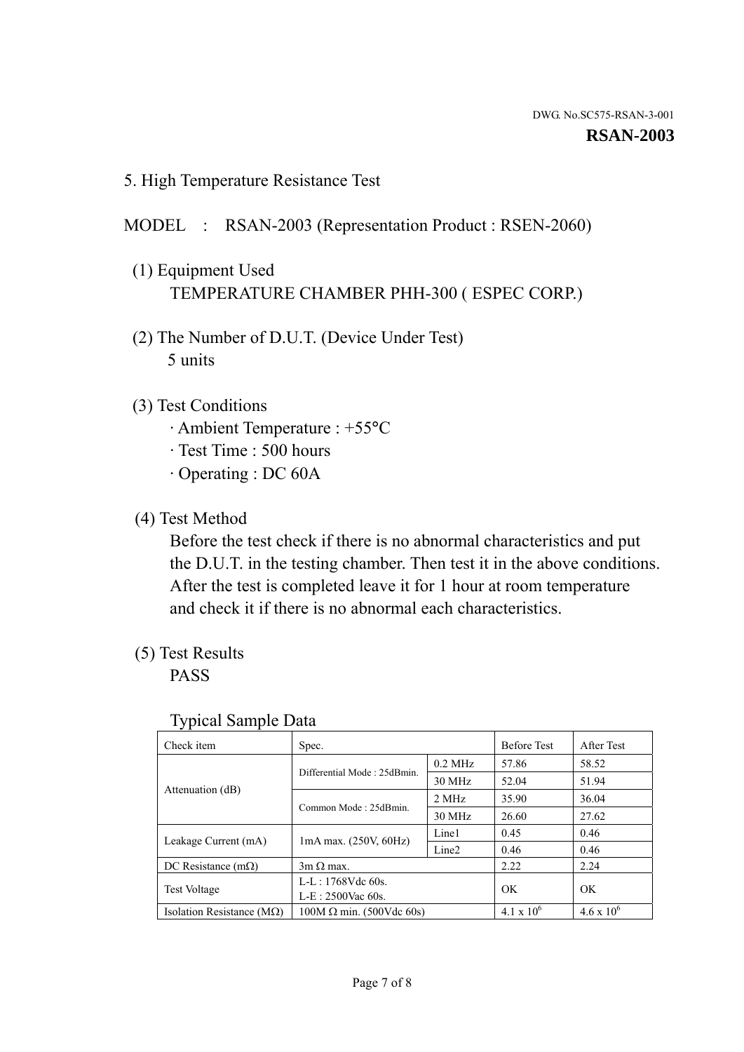5. High Temperature Resistance Test

#### MODEL : RSAN-2003 (Representation Product : RSEN-2060)

- (1) Equipment Used TEMPERATURE CHAMBER PHH-300 ( ESPEC CORP.)
- (2) The Number of D.U.T. (Device Under Test) 5 units
- (3) Test Conditions
	- · Ambient Temperature : +55°C
	- · Test Time : 500 hours
	- · Operating : DC 60A
- (4) Test Method

 Before the test check if there is no abnormal characteristics and put the D.U.T. in the testing chamber. Then test it in the above conditions. After the test is completed leave it for 1 hour at room temperature and check it if there is no abnormal each characteristics.

(5) Test Results

PASS

| ╯┸                                 |                                 |                   |                     |                     |
|------------------------------------|---------------------------------|-------------------|---------------------|---------------------|
| Check item                         | Spec.                           |                   | <b>Before Test</b>  | After Test          |
|                                    | Differential Mode: 25dBmin.     | $0.2$ MHz         | 57.86               | 58.52               |
|                                    |                                 | 30 MHz            | 52.04               | 51.94               |
| Attenuation (dB)                   | Common Mode: 25dBmin.           | 2 MHz             | 35.90               | 36.04               |
|                                    |                                 | 30 MHz            | 26.60               | 27.62               |
| Leakage Current (mA)               | $1mA$ max. $(250V, 60Hz)$       | Line1             | 0.45                | 0.46                |
|                                    |                                 | Line <sub>2</sub> | 0.46                | 0.46                |
| DC Resistance $(m\Omega)$          | $3m \Omega$ max.                |                   | 2.22                | 2.24                |
| <b>Test Voltage</b>                | $L-L: 1768Vdc$ 60s.             |                   | OK                  | OK                  |
|                                    | $L-E: 2500$ Vac 60s.            |                   |                     |                     |
| Isolation Resistance ( $M\Omega$ ) | $100M \Omega$ min. (500Vdc 60s) |                   | $4.1 \times 10^{6}$ | $4.6 \times 10^{6}$ |

#### Typical Sample Data